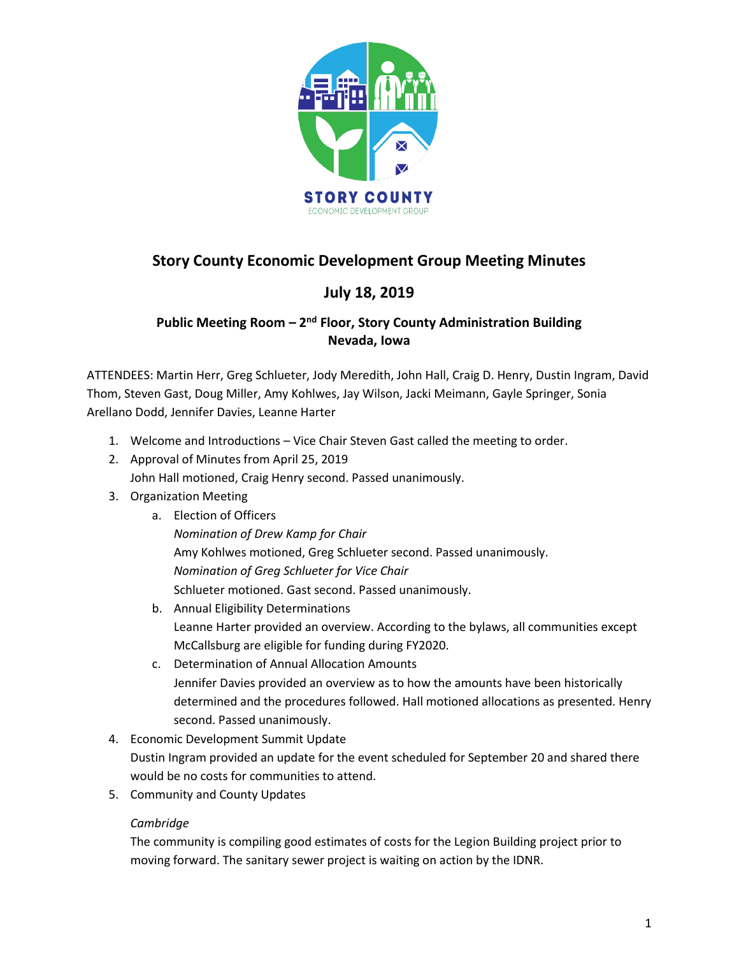

# **Story County Economic Development Group Meeting Minutes**

## **July 18, 2019**

## **Public Meeting Room - 2<sup>nd</sup> Floor, Story County Administration Building Nevada, Iowa**

ATTENDEES: Martin Herr, Greg Schlueter, Jody Meredith, John Hall, Craig D. Henry, Dustin Ingram, David Thom, Steven Gast, Doug Miller, Amy Kohlwes, Jay Wilson, Jacki Meimann, Gayle Springer, Sonia Arellano Dodd, Jennifer Davies, Leanne Harter

- 1. Welcome and Introductions Vice Chair Steven Gast called the meeting to order.
- 2. Approval of Minutes from April 25, 2019
	- John Hall motioned, Craig Henry second. Passed unanimously.
- 3. Organization Meeting

## a. Election of Officers

*Nomination of Drew Kamp for Chair*  Amy Kohlwes motioned, Greg Schlueter second. Passed unanimously. *Nomination of Greg Schlueter for Vice Chair* Schlueter motioned. Gast second. Passed unanimously.

- b. Annual Eligibility Determinations Leanne Harter provided an overview. According to the bylaws, all communities except McCallsburg are eligible for funding during FY2020.
- c. Determination of Annual Allocation Amounts Jennifer Davies provided an overview as to how the amounts have been historically determined and the procedures followed. Hall motioned allocations as presented. Henry second. Passed unanimously.
- 4. Economic Development Summit Update Dustin Ingram provided an update for the event scheduled for September 20 and shared there would be no costs for communities to attend.
- 5. Community and County Updates

## *Cambridge*

The community is compiling good estimates of costs for the Legion Building project prior to moving forward. The sanitary sewer project is waiting on action by the IDNR.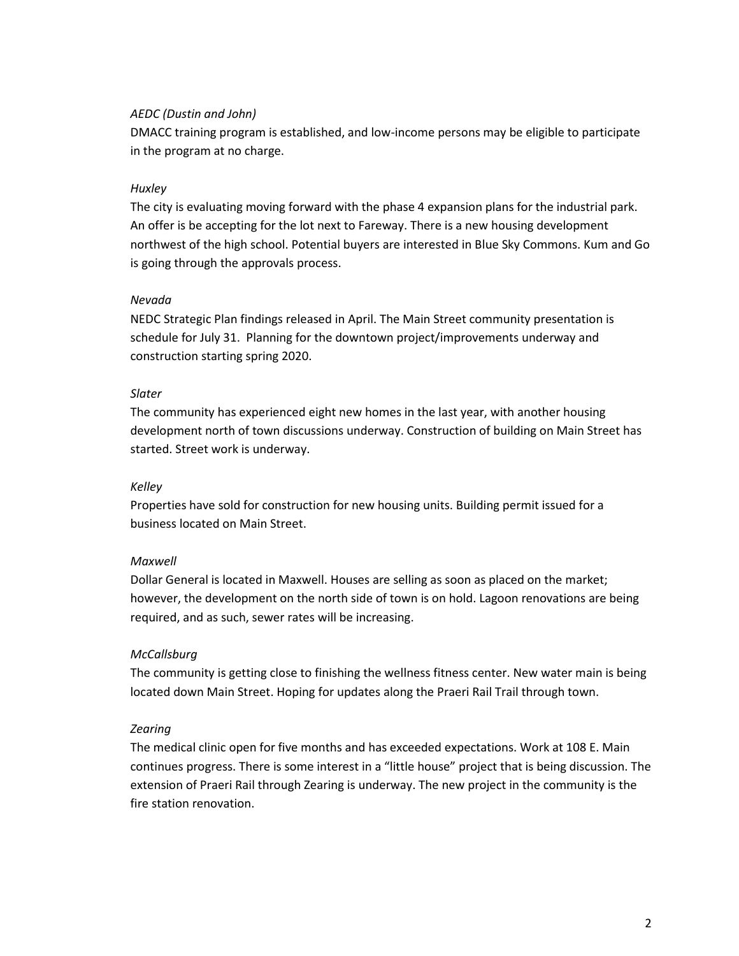#### *AEDC (Dustin and John)*

DMACC training program is established, and low-income persons may be eligible to participate in the program at no charge.

#### *Huxley*

The city is evaluating moving forward with the phase 4 expansion plans for the industrial park. An offer is be accepting for the lot next to Fareway. There is a new housing development northwest of the high school. Potential buyers are interested in Blue Sky Commons. Kum and Go is going through the approvals process.

#### *Nevada*

NEDC Strategic Plan findings released in April. The Main Street community presentation is schedule for July 31. Planning for the downtown project/improvements underway and construction starting spring 2020.

#### *Slater*

The community has experienced eight new homes in the last year, with another housing development north of town discussions underway. Construction of building on Main Street has started. Street work is underway.

#### *Kelley*

Properties have sold for construction for new housing units. Building permit issued for a business located on Main Street.

## *Maxwell*

Dollar General is located in Maxwell. Houses are selling as soon as placed on the market; however, the development on the north side of town is on hold. Lagoon renovations are being required, and as such, sewer rates will be increasing.

## *McCallsburg*

The community is getting close to finishing the wellness fitness center. New water main is being located down Main Street. Hoping for updates along the Praeri Rail Trail through town.

#### *Zearing*

The medical clinic open for five months and has exceeded expectations. Work at 108 E. Main continues progress. There is some interest in a "little house" project that is being discussion. The extension of Praeri Rail through Zearing is underway. The new project in the community is the fire station renovation.